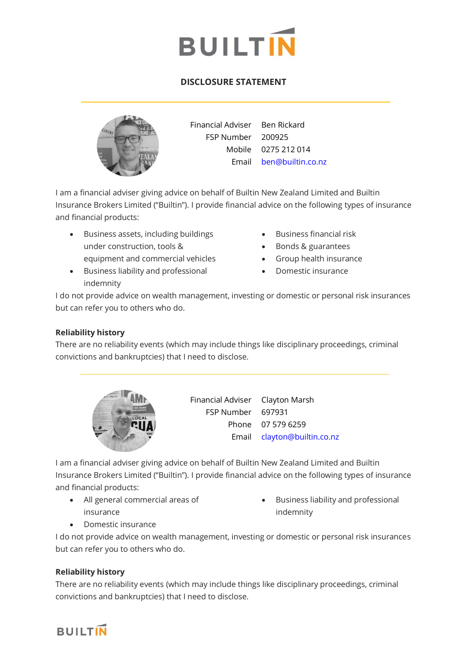

# **DISCLOSURE STATEMENT**



Financial Adviser Ben Rickard FSP Number 200925 Mobile 0275 212 014 Email [ben@builtin.co.nz](mailto:ben@builtin.co.nz)

I am a financial adviser giving advice on behalf of Builtin New Zealand Limited and Builtin Insurance Brokers Limited ("Builtin"). I provide financial advice on the following types of insurance and financial products:

- Business assets, including buildings under construction, tools & equipment and commercial vehicles
- Business liability and professional indemnity
- Business financial risk
- Bonds & guarantees
- Group health insurance
- Domestic insurance

I do not provide advice on wealth management, investing or domestic or personal risk insurances but can refer you to others who do.

## **Reliability history**

There are no reliability events (which may include things like disciplinary proceedings, criminal convictions and bankruptcies) that I need to disclose.



Financial Adviser Clayton Marsh FSP Number 697931 Phone 07 579 6259 Email [clayton@builtin.co.nz](mailto:clayton@builtin.co.nz)

I am a financial adviser giving advice on behalf of Builtin New Zealand Limited and Builtin Insurance Brokers Limited ("Builtin"). I provide financial advice on the following types of insurance and financial products:

- All general commercial areas of insurance
- Business liability and professional indemnity

• Domestic insurance

I do not provide advice on wealth management, investing or domestic or personal risk insurances but can refer you to others who do.

### **Reliability history**

There are no reliability events (which may include things like disciplinary proceedings, criminal convictions and bankruptcies) that I need to disclose.

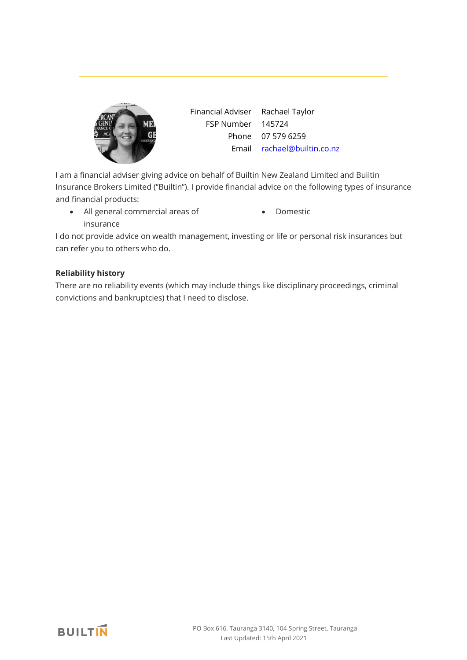

Financial Adviser Rachael Taylor FSP Number 145724 Phone 07 579 6259 Email [rachael@builtin.co.nz](mailto:rachael@builtin.co.nz)

I am a financial adviser giving advice on behalf of Builtin New Zealand Limited and Builtin Insurance Brokers Limited ("Builtin"). I provide financial advice on the following types of insurance and financial products:

- All general commercial areas of insurance
- Domestic

I do not provide advice on wealth management, investing or life or personal risk insurances but can refer you to others who do.

## **Reliability history**

There are no reliability events (which may include things like disciplinary proceedings, criminal convictions and bankruptcies) that I need to disclose.

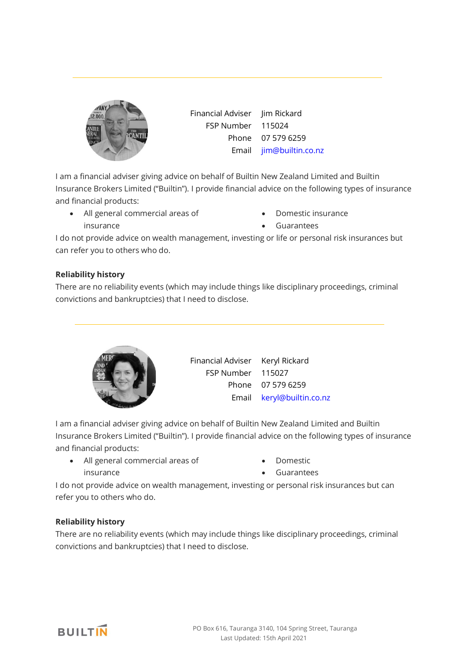

Financial Adviser Jim Rickard FSP Number 115024 Phone 07 579 6259 Email [jim@builtin.co.nz](mailto:jim@builtin.co.nz)

I am a financial adviser giving advice on behalf of Builtin New Zealand Limited and Builtin Insurance Brokers Limited ("Builtin"). I provide financial advice on the following types of insurance and financial products:

- All general commercial areas of insurance
- Domestic insurance
- Guarantees

I do not provide advice on wealth management, investing or life or personal risk insurances but can refer you to others who do.

## **Reliability history**

There are no reliability events (which may include things like disciplinary proceedings, criminal convictions and bankruptcies) that I need to disclose.



Financial Adviser Keryl Rickard FSP Number 115027 Phone 07 579 6259 Email [keryl@builtin.co.nz](mailto:keryl@builtin.co.nz)

I am a financial adviser giving advice on behalf of Builtin New Zealand Limited and Builtin Insurance Brokers Limited ("Builtin"). I provide financial advice on the following types of insurance and financial products:

- All general commercial areas of insurance
- Domestic
- Guarantees

I do not provide advice on wealth management, investing or personal risk insurances but can refer you to others who do.

## **Reliability history**

There are no reliability events (which may include things like disciplinary proceedings, criminal convictions and bankruptcies) that I need to disclose.